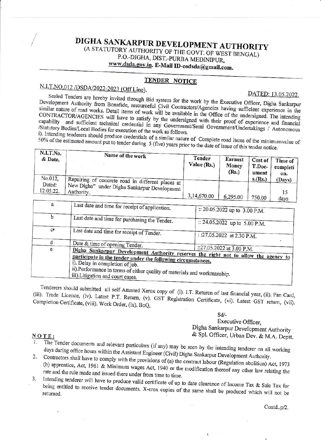### DIGHA SANKARPUR DEVELOPMENT AUTHORITY (A STATUTORY AUTHORITY OF THE GOVT. OF WEST BENGAL) P.O.-DIGHA, DIST.-PURBA MEDINIPUR, www.dsda.gov.in. E-Mail ID-eodsda@gmail.com.

#### **TENDER NOTICE**

# N.I.T.NO.012/DSDA/2022-2023 (Off Line).

DATED: 13.05.2022.

Sealed Tenders are hereby invited through Bid system for the work by the Executive Officer, Digha Sankarpur Development Authority from Bonafide, resourceful Civil Contractors/Agencies having sufficient experience in the similar nature of road works. Detail items of work will be available in the Office of the undersigned. The intending CONTRACTOR/AGENCIES will have to satisfy by the undersigned with their proof of experience and financial capability and sufficient technical credential in any Government/Semi Government/Undertakings / Autonomous /Statutory Bodies/Local Bodies for execution of the work as follows.

i). Intending tenderers should produce credentials of a similar nature of Complete road items of the minimumvalue of  $50\%$  of the estimated amount put to tender during 5 (five) years prior to the date of issue of this tender notice.

| N.I.I.No.<br>& Date. | Name of the work                                           | <b>Tender</b><br>Value $(Rs.)$ | Earnest<br>Money<br>(Rs.) | Cost of<br>T.Doc-<br>ument | Time of<br>completi<br>on. |
|----------------------|------------------------------------------------------------|--------------------------------|---------------------------|----------------------------|----------------------------|
| No.012,              | Repairing of concrete road in different places at          |                                |                           | s.(Rs.)                    | (Days)                     |
| Dated:<br>12.05.22.  | New Digha" under Digha Sankarpur Development<br>Authority. | 3,14,670.00                    | 6,295.00                  | 750.00                     | davs                       |

| $\mathbf a$ |                                                                                                                                                                                                                                                                                                         |                                                             |  |
|-------------|---------------------------------------------------------------------------------------------------------------------------------------------------------------------------------------------------------------------------------------------------------------------------------------------------------|-------------------------------------------------------------|--|
|             | Last date and time for receipt of application.                                                                                                                                                                                                                                                          | :: 20.05.2022 up to 3.00 P.M.                               |  |
| b           | Last date and time for purchasing the Tender.                                                                                                                                                                                                                                                           | :: 24.05.2022 up to 5.00 P.M.<br>: :27.05.2022 at 2.30 P.M. |  |
| $C^{\pi}$   | Last date and time for receipt of Tender.                                                                                                                                                                                                                                                               |                                                             |  |
|             | Date & time of opening Tender.                                                                                                                                                                                                                                                                          |                                                             |  |
| e           |                                                                                                                                                                                                                                                                                                         | ::27.05.2022 at 3.00 P.M.                                   |  |
|             | Digha Sankarpur Development Authority reserves the right not to allow the agency to<br>participate in the tender under the following circumstances.<br>i). Delay in completion of job.<br>ii).Performance in terms of either quality of materials and workmanship.<br>iii). Litigation and court cases. |                                                             |  |

Tenderers should submitted all self Attested Xerox copy of (i). I.T. Returen of last financial year, (ii). Pan Card, (iii). Trade Licence, (iv). Latest P.T. Return, (v). GST Registration Certificate, (vi). Latest GST return, (vii). Completion Certificate, (viii). Work Order, (ix). BoQ,

 $Sd$ -

Executive Officer, Digha Sankarpur Development Authority & Spl. Officer, Urban Dev. & M.A. Deptt.

#### NOTE:

- The Tender documents and relevant particulars (if any) may be seen by the intending tenderer on all working days during office hours within the Assistant Engineer (Civil) Digha Sankarpur Development Authority.
- 2. Contractors shall have to comply with the provisions of (a) the contract labour (Regulation abolition) Act, 1973 (b) apprentice, Act, 1961 & Minimum wages Act, 1940 or the modification thereof any other law relating the rate and the rule made and issued there under from time to time. 3.
- Intending tenderer will have to produce valid certificate of up to date clearance of Income Tax & Sale Tax for being entitled to receive tender documents. X-erox copies of the same shall be produced which will not be